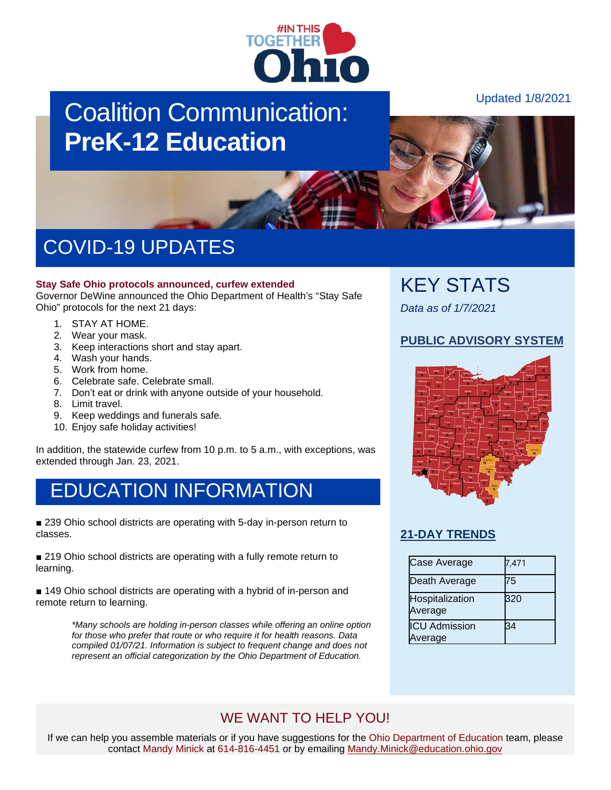

# Coalition Communication: **PreK-12 Education**

Updated 1/8/2021

# COVID-19 UPDATES

#### **Stay Safe Ohio protocols announced, curfew extended**

Governor DeWine announced the Ohio Department of Health's "Stay Safe Ohio" protocols for the next 21 days:

- 1. STAY AT HOME.
- 2. Wear your mask.
- 3. Keep interactions short and stay apart.
- 4. Wash your hands.
- 5. Work from home.
- 6. Celebrate safe. Celebrate small.
- 7. Don't eat or drink with anyone outside of your household.
- 8. Limit travel.
- 9. Keep weddings and funerals safe.
- 10. Enjoy safe holiday activities!

In addition, the statewide curfew from 10 p.m. to 5 a.m., with exceptions, was extended through Jan. 23, 2021.

### EDUCATION INFORMATION

■ 239 Ohio school districts are operating with 5-day in-person return to classes.

■ 219 Ohio school districts are operating with a fully remote return to learning.

■ 149 Ohio school districts are operating with a hybrid of in-person and remote return to learning.

> *\*Many schools are holding in-person classes while offering an online option for those who prefer that route or who require it for health reasons. Data compiled 01/07/21. Information is subject to frequent change and does not represent an official categorization by the Ohio Department of Education.*

### KEY STATS

*Data as of 1/7/2021*

#### **[PUBLIC ADVISORY SYSTEM](https://coronavirus.ohio.gov/wps/portal/gov/covid-19/public-health-advisory-system)**



#### **[21-DAY TRENDS](https://coronavirus.ohio.gov/wps/portal/gov/covid-19/dashboards/current-trends)**

| Case Average                    | 7,471 |
|---------------------------------|-------|
| Death Average                   | 75    |
| Hospitalization<br>Average      | 320   |
| <b>ICU Admission</b><br>Average | 34    |

### WE WANT TO HELP YOU!

If we can help you assemble materials or if you have suggestions for the Ohio Department of Education team, please contact Mandy Minick at 614-816-4451 or by emailing [Mandy.Minick@education.ohio.gov](mailto:mandy.minick@education.ohio.gov)